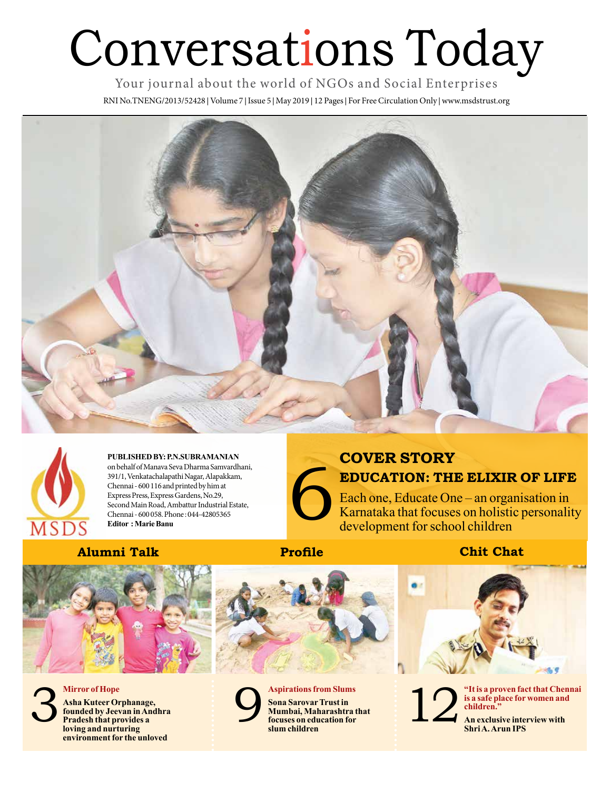# Conversations Today

Your journal about the world of NGOs and Social Enterprises

RNI No.TNENG/2013/52428 **|** Volume 7 **|** Issue 5 **|** May 2019 **|** 12 Pages **|** For Free Circulation Only **|** www.msdstrust.org





**PUBLISHED BY: P.N.SUBRAMANIAN**  on behalf of Manava Seva Dharma Samvardhani, 391/1, Venkatachalapathi Nagar, Alapakkam, Chennai - 600 116 and printed by him at Express Press, Express Gardens, No.29, Second Main Road, Ambattur Industrial Estate, Chennai - 600 058. Phone : 044-42805365 **Editor : Marie Banu** 

### **Alumni Talk Profile Chit Chat**







**Mirror of Hope Asha Kuteer Orphanage,** 

**founded by Jeevan in Andhra Pradesh that provides a loving and nurturing environment for the unloved**





6 **COVER STORY EDUCATION: THE ELIXIR OF LIFE**

Each one, Educate One – an organisation in Karnataka that focuses on holistic personality development for school children



The same of that Chennai is a safe place for women and children."<br>
An exclusive interview with Shri A. Arun IPS **is a safe place for women and children."**

**Shri A. Arun IPS**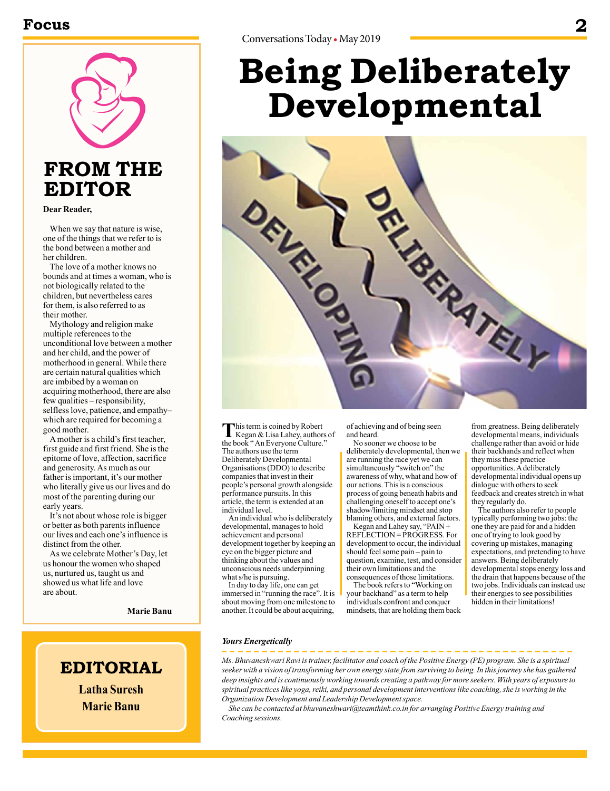### **Focus 2**



## **FROM THE EDITOR**

**Dear Reader,**

When we say that nature is wise, one of the things that we refer to is the bond between a mother and her children.

The love of a mother knows no bounds and at times a woman, who is not biologically related to the children, but nevertheless cares for them, is also referred to as their mother.

Mythology and religion make multiple references to the unconditional love between a mother and her child, and the power of motherhood in general. While there are certain natural qualities which are imbibed by a woman on acquiring motherhood, there are also few qualities – responsibility, selfless love, patience, and empathy– which are required for becoming a good mother.

A mother is a child's first teacher, first guide and first friend. She is the epitome of love, affection, sacrifice and generosity. As much as our father is important, it's our mother who literally give us our lives and do most of the parenting during our early years.

It's not about whose role is bigger or better as both parents influence our lives and each one's influence is distinct from the other.

As we celebrate Mother's Day, let us honour the women who shaped us, nurtured us, taught us and showed us what life and love are about.

**Marie Banu**

## **EDITORIAL**

**Latha Suresh Marie Banu**

# **Being Deliberately Developmental**



**T**his term is coined by Robert<br>
Kegan & Lisa Lahey, authors of the book " An Everyone Culture." The authors use the term Deliberately Developmental Organisations (DDO) to describe companies that invest in their people's personal growth alongside performance pursuits. In this article, the term is extended at an individual level.

An individual who is deliberately developmental, manages to hold achievement and personal development together by keeping an eye on the bigger picture and thinking about the values and unconscious needs underpinning what s/he is pursuing.

In day to day life, one can get immersed in "running the race". It is about moving from one milestone to another. It could be about acquiring,

of achieving and of being seen and heard.

No sooner we choose to be deliberately developmental, then we are running the race yet we can simultaneously "switch on" the awareness of why, what and how of our actions. This is a conscious process of going beneath habits and challenging oneself to accept one's shadow/limiting mindset and stop blaming others, and external factors.

Kegan and Lahey say, "PAIN + REFLECTION = PROGRESS. For development to occur, the individual should feel some pain – pain to question, examine, test, and consider their own limitations and the consequences of those limitations.

The book refers to "Working on your backhand" as a term to help individuals confront and conquer mindsets, that are holding them back

from greatness. Being deliberately developmental means, individuals challenge rather than avoid or hide their backhands and reflect when they miss these practice opportunities. A deliberately developmental individual opens up dialogue with others to seek feedback and creates stretch in what they regularly do.

The authors also refer to people typically performing two jobs: the one they are paid for and a hidden one of trying to look good by covering up mistakes, managing expectations, and pretending to have answers. Being deliberately developmental stops energy loss and the drain that happens because of the two jobs. Individuals can instead use their energies to see possibilities hidden in their limitations!

#### *Yours Energetically*

*Ms. Bhuvaneshwari Ravi is trainer, facilitator and coach of the Positive Energy (PE) program. She is a spiritual seeker with a vision of transforming her own energy state from surviving to being. In this journey she has gathered deep insights and is continuously working towards creating a pathway for more seekers. With years of exposure to spiritual practices like yoga, reiki, and personal development interventions like coaching, she is working in the Organization Development and Leadership Development space.* 

*She can be contacted at bhuvaneshwari@teamthink.co.in for arranging Positive Energy training and Coaching sessions.*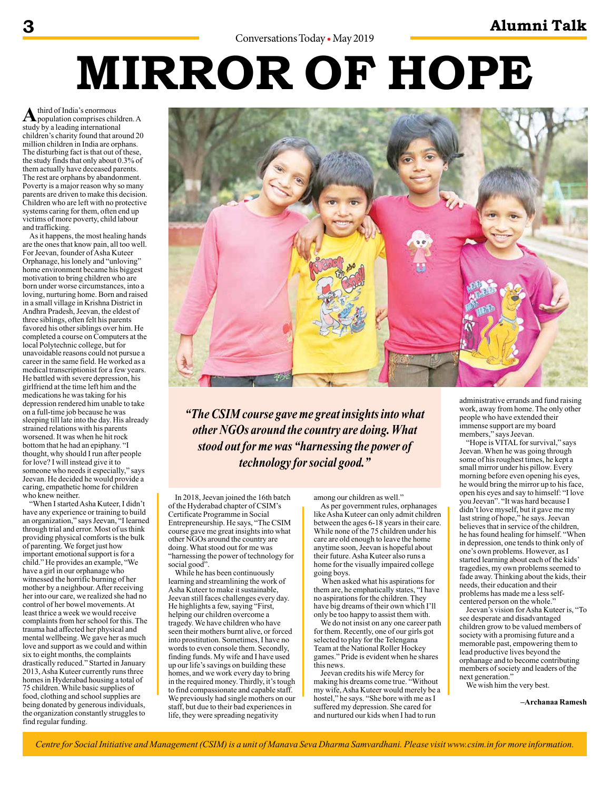# **MIRROR OF HOPE**

A third of India's enormous<br>
population comprises children. A study by a leading international children's charity found that around 20 million children in India are orphans. The disturbing fact is that out of these, the study finds that only about 0.3% of them actually have deceased parents. The rest are orphans by abandonment. Poverty is a major reason why so many parents are driven to make this decision. Children who are left with no protective systems caring for them, often end up victims of more poverty, child labour and trafficking.

As it happens, the most healing hands are the ones that know pain, all too well. For Jeevan, founder of Asha Kuteer Orphanage, his lonely and "unloving" home environment became his biggest motivation to bring children who are born under worse circumstances, into a loving, nurturing home. Born and raised in a small village in Krishna District in Andhra Pradesh, Jeevan, the eldest of three siblings, often felt his parents favored his other siblings over him. He completed a course on Computers at the local Polytechnic college, but for unavoidable reasons could not pursue a career in the same field. He worked as a medical transcriptionist for a few years. He battled with severe depression, his girlfriend at the time left him and the medications he was taking for his depression rendered him unable to take on a full-time job because he was sleeping till late into the day. His already strained relations with his parents worsened. It was when he hit rock bottom that he had an epiphany. "I thought, why should I run after people for love? I will instead give it to someone who needs it especially," says Jeevan. He decided he would provide a caring, empathetic home for children who knew neither.

"When I started Asha Kuteer, I didn't have any experience or training to build an organization," says Jeevan, "I learned through trial and error. Most of us think providing physical comforts is the bulk of parenting. We forget just how important emotional support is for a child." He provides an example, "We have a girl in our orphanage who witnessed the horrific burning of her mother by a neighbour. After receiving her into our care, we realized she had no control of her bowel movements. At least thrice a week we would receive complaints from her school for this. The trauma had affected her physical and mental wellbeing. We gave her as much love and support as we could and within six to eight months, the complaints drastically reduced." Started in January 2013, Asha Kuteer currently runs three homes in Hyderabad housing a total of 75 children. While basic supplies of food, clothing and school supplies are being donated by generous individuals, the organization constantly struggles to find regular funding.



*"The CSIM course gave me great insights into what other NGOs around the country are doing. What stood out for me was "harnessing the power of technology for social good."*

In 2018, Jeevan joined the 16th batch of the Hyderabad chapter of CSIM's Certificate Programme in Social Entrepreneurship. He says, "The CSIM course gave me great insights into what other NGOs around the country are doing. What stood out for me was "harnessing the power of technology for social good".

While he has been continuously learning and streamlining the work of Asha Kuteer to make it sustainable, Jeevan still faces challenges every day. He highlights a few, saying "First, helping our children overcome a tragedy. We have children who have seen their mothers burnt alive, or forced into prostitution. Sometimes, I have no words to even console them. Secondly, finding funds. My wife and I have used up our life's savings on building these homes, and we work every day to bring in the required money. Thirdly, it's tough to find compassionate and capable staff. We previously had single mothers on our staff, but due to their bad experiences in life, they were spreading negativity

among our children as well."

As per government rules, orphanages like Asha Kuteer can only admit children between the ages 6-18 years in their care. While none of the 75 children under his care are old enough to leave the home anytime soon, Jeevan is hopeful about their future. Asha Kuteer also runs a home for the visually impaired college going boys.

 When asked what his aspirations for them are, he emphatically states, "I have no aspirations for the children. They have big dreams of their own which I'll only be too happy to assist them with.

We do not insist on any one career path for them. Recently, one of our girls got selected to play for the Telengana Team at the National Roller Hockey games." Pride is evident when he shares this news.

Jeevan credits his wife Mercy for making his dreams come true. "Without my wife, Asha Kuteer would merely be a hostel," he says. "She bore with me as I suffered my depression. She cared for and nurtured our kids when I had to run

administrative errands and fund raising work, away from home. The only other people who have extended their immense support are my board members," says Jeevan.

"Hope is VITAL for survival," says Jeevan. When he was going through some of his roughest times, he kept a small mirror under his pillow. Every morning before even opening his eyes, he would bring the mirror up to his face, open his eyes and say to himself: "I love you Jeevan". "It was hard because I didn't love myself, but it gave me my last string of hope," he says. Jeevan believes that in service of the children, he has found healing for himself. "When in depression, one tends to think only of one's own problems. However, as I started learning about each of the kids' tragedies, my own problems seemed to fade away. Thinking about the kids, their needs, their education and their problems has made me a less selfcentered person on the whole."

Jeevan's vision for Asha Kuteer is, "To see desperate and disadvantaged children grow to be valued members of society with a promising future and a memorable past, empowering them to lead productive lives beyond the orphanage and to become contributing members of society and leaders of the next generation."

We wish him the very best.

**–Archanaa Ramesh**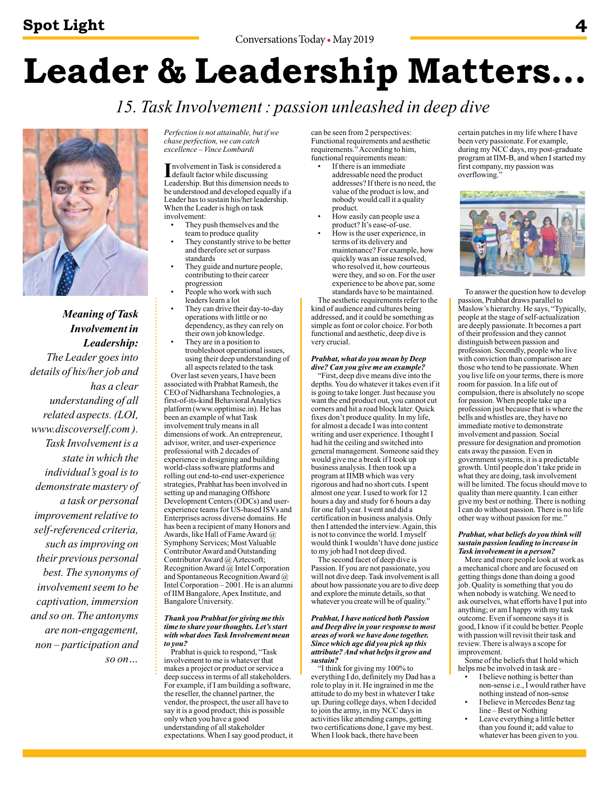# **Leader & Leadership Matters…**

*15. Task Involvement : passion unleashed in deep dive*



*Meaning of Task Involvement in Leadership: The Leader goes into details of his/her job and has a clear understanding of all related aspects. (LOI, www.discoverself.com ). Task Involvement is a state in which the individual's goal is to demonstrate mastery of a task or personal improvement relative to self-referenced criteria, such as improving on their previous personal best. The synonyms of involvement seem to be captivation, immersion and so on. The antonyms are non-engagement, non – participation and so on…*

*Perfection is not attainable, but if we chase perfection, we can catch excellence – Vince Lombardi* 

Involvement in Task is considered<br>default factor while discussing<br>Loodership But this dimension res nvolvement in Task is considered a Leadership. But this dimension needs to be understood and developed equally if a Leader has to sustain his/her leadership. When the Leader is high on task involvement:

- They push themselves and the
- team to produce quality They constantly strive to be better and therefore set or surpass standards
- They guide and nurture people, contributing to their career progression
- People who work with such leaders learn a lot
- They can drive their day-to-day operations with little or no dependency, as they can rely on their own job knowledge.
- They are in a position to troubleshoot operational issues, using their deep understanding of

all aspects related to the task Over last seven years, I have been

associated with Prabhat Ramesh, the CEO of Nidharshana Technologies, a first-of-its-kind Behavioral Analytics platform (www.opptimise.in). He has been an example of what Task involvement truly means in all dimensions of work. An entrepreneur, advisor, writer, and user-experience professional with 2 decades of experience in designing and building world-class software platforms and rolling out end-to-end user-experience strategies, Prabhat has been involved in setting up and managing Offshore Development Centers (ODCs) and userexperience teams for US-based ISVs and Enterprises across diverse domains. He has been a recipient of many Honors and Awards, like Hall of Fame Award  $\omega$ Symphony Services; Most Valuable Contributor Award and Outstanding Contributor Award @ Aztecsoft; Recognition Award @ Intel Corporation and Spontaneous Recognition Award @ Intel Corporation – 2001. He is an alumni of IIM Bangalore, Apex Institute, and Bangalore University.

#### *Thank you Prabhat for giving me this time to share your thoughts. Let's start with what does Task Involvement mean to you?*

Prabhat is quick to respond, "Task involvement to me is whatever that makes a project or product or service a deep success in terms of all stakeholders. For example, if I am building a software, the reseller, the channel partner, the vendor, the prospect, the user all have to say it is a good product; this is possible only when you have a good understanding of all stakeholder expectations. When I say good product, it can be seen from 2 perspectives: Functional requirements and aesthetic requirements.<sup>5</sup> According to him, functional requirements mean:

- If there is an immediate addressable need the product addresses? If there is no need, the value of the product is low, and nobody would call it a quality product.
- How easily can people use a product? It's ease-of-use.
- How is the user experience, in terms of its delivery and maintenance? For example, how quickly was an issue resolved, who resolved it, how courteous were they, and so on. For the user experience to be above par, some standards have to be maintained. The aesthetic requirements refer to the

kind of audience and cultures being addressed, and it could be something as simple as font or color choice. For both functional and aesthetic, deep dive is very crucial.

#### *Prabhat, what do you mean by Deep dive? Can you give me an example?*

"First, deep dive means dive into the depths. You do whatever it takes even if it is going to take longer. Just because you want the end product out, you cannot cut corners and hit a road block later. Quick fixes don't produce quality. In my life, for almost a decade I was into content writing and user experience. I thought I had hit the ceiling and switched into general management. Someone said they would give me a break if I took up business analysis. I then took up a program at IIMB which was very rigorous and had no short cuts. I spent almost one year. I used to work for 12 hours a day and study for 6 hours a day for one full year. I went and did a certification in business analysis. Only then I attended the interview. Again, this is not to convince the world. I myself would think I wouldn't have done justice to my job had I not deep dived.

The second facet of deep dive is Passion. If you are not passionate, you will not dive deep. Task involvement is all about how passionate you are to dive deep and explore the minute details, so that whatever you create will be of quality."

#### *Prabhat, I have noticed both Passion and Deep dive in your response to most areas of work we have done together. Since which age did you pick up this attribute? And what helps it grow and sustain?*

"I think for giving my 100% to everything I do, definitely my Dad has a role to play in it. He ingrained in me the attitude to do my best in whatever I take up. During college days, when I decided to join the army, in my NCC days in activities like attending camps, getting two certifications done, I gave my best. When I look back, there have been

certain patches in my life where I have been very passionate. For example, during my NCC days, my post-graduate program at IIM-B, and when I started my first company, my passion was overflowing."



To answer the question how to develop passion, Prabhat draws parallel to Maslow's hierarchy. He says, "Typically, people at the stage of self-actualization are deeply passionate. It becomes a part of their profession and they cannot distinguish between passion and profession. Secondly, people who live with conviction than comparison are those who tend to be passionate. When you live life on your terms, there is more room for passion. In a life out of compulsion, there is absolutely no scope for passion. When people take up a profession just because that is where the bells and whistles are, they have no immediate motive to demonstrate involvement and passion. Social pressure for designation and promotion eats away the passion. Even in government systems, it is a predictable growth. Until people don't take pride in what they are doing, task involvement will be limited. The focus should move to quality than mere quantity. I can either give my best or nothing. There is nothing I can do without passion. There is no life other way without passion for me."

#### *Prabhat, what beliefs do you think will sustain passion leading to increase in Task involvement in a person?*

More and more people look at work as a mechanical chore and are focused on getting things done than doing a good job. Quality is something that you do when nobody is watching. We need to ask ourselves, what efforts have I put into anything; or am I happy with my task outcome. Even if someone says it is good, I know if it could be better. People with passion will revisit their task and review. There is always a scope for improvement.

Some of the beliefs that I hold which helps me be involved in task are -

- I believe nothing is better than non-sense i.e., I would rather have nothing instead of non-sense I believe in Mercedes Benz tag
- line Best or Nothing
- Leave everything a little better than you found it; add value to whatever has been given to you.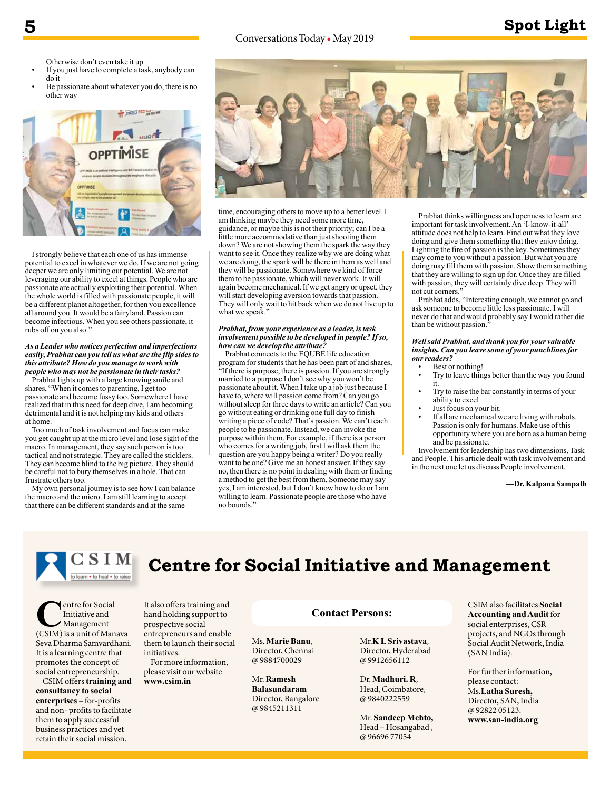#### Conversations Today • May 2019

## **5 Spot Light**

Otherwise don't even take it up.

- If you just have to complete a task, anybody can do it
- Be passionate about whatever you do, there is no other way



I strongly believe that each one of us has immense potential to excel in whatever we do. If we are not going deeper we are only limiting our potential. We are not leveraging our ability to excel at things. People who are passionate are actually exploiting their potential. When the whole world is filled with passionate people, it will be a different planet altogether, for then you excellence all around you. It would be a fairyland. Passion can become infectious. When you see others passionate, it rubs off on you also."

#### *As a Leader who notices perfection and imperfections easily, Prabhat can you tell us what are the flip sides to this attribute? How do you manage to work with people who may not be passionate in their tasks?*

Prabhat lights up with a large knowing smile and shares, "When it comes to parenting, I get too passionate and become fussy too. Somewhere I have realized that in this need for deep dive, I am becoming detrimental and it is not helping my kids and others at home.

Too much of task involvement and focus can make you get caught up at the micro level and lose sight of the macro. In management, they say such person is too tactical and not strategic. They are called the sticklers. They can become blind to the big picture. They should be careful not to bury themselves in a hole. That can frustrate others too.

My own personal journey is to see how I can balance the macro and the micro. I am still learning to accept that there can be different standards and at the same



time, encouraging others to move up to a better level. I am thinking maybe they need some more time, guidance, or maybe this is not their priority; can I be a little more accommodative than just shooting them down? We are not showing them the spark the way they want to see it. Once they realize why we are doing what we are doing, the spark will be there in them as well and they will be passionate. Somewhere we kind of force them to be passionate, which will never work. It will again become mechanical. If we get angry or upset, they will start developing aversion towards that passion. They will only wait to hit back when we do not live up to what we speak."

#### *Prabhat, from your experience as a leader, is task involvement possible to be developed in people? If so, how can we develop the attribute?*

Prabhat connects to the EQUBE life education program for students that he has been part of and shares, "If there is purpose, there is passion. If you are strongly married to a purpose I don't see why you won't be passionate about it. When I take up a job just because I have to, where will passion come from? Can you go without sleep for three days to write an article? Can you go without eating or drinking one full day to finish writing a piece of code? That's passion. We can't teach people to be passionate. Instead, we can invoke the purpose within them. For example, if there is a person who comes for a writing job, first I will ask them the question are you happy being a writer? Do you really want to be one? Give me an honest answer. If they say no, then there is no point in dealing with them or finding a method to get the best from them. Someone may say yes, I am interested, but I don't know how to do or I am willing to learn. Passionate people are those who have no bounds."

Prabhat thinks willingness and openness to learn are important for task involvement. An 'I-know-it-all' attitude does not help to learn. Find out what they love doing and give them something that they enjoy doing. Lighting the fire of passion is the key. Sometimes they may come to you without a passion. But what you are doing may fill them with passion. Show them something that they are willing to sign up for. Once they are filled with passion, they will certainly dive deep. They will not cut corners."

Prabhat adds, "Interesting enough, we cannot go and ask someone to become little less passionate. I will never do that and would probably say I would rather die than be without passion."

*Well said Prabhat, and thank you for your valuable insights. Can you leave some of your punchlines for our readers?*

- Best or nothing!
- Try to leave things better than the way you found it.
- Try to raise the bar constantly in terms of your ability to excel
- Just focus on your bit.
- If all are mechanical we are living with robots. Passion is only for humans. Make use of this opportunity where you are born as a human being and be passionate.

Involvement for leadership has two dimensions, Task and People. This article dealt with task involvement and in the next one let us discuss People involvement.

**—Dr. Kalpana Sampath**

## CSIM **Centre for Social Initiative and Management**

**C**entre for Social<br>
Initiative and<br>
(CSIM) is a unit of Manava Initiative and Management Seva Dharma Samvardhani. It is a learning centre that promotes the concept of social entrepreneurship.

CSIM offers **training and consultancy to social enterprises** – for-profits and non- profits to facilitate them to apply successful business practices and yet retain their social mission.

It also offers training and hand holding support to prospective social entrepreneurs and enable them to launch their social initiatives.

For more information, please visit our website **www.csim.in**

#### **Contact Persons:**

Ms. **Marie Banu**, Director, Chennai @ 9884700029

Mr. **Ramesh Balasundaram**  Director, Bangalore @ 9845211311

Mr.**K L Srivastava**, Director, Hyderabad @ 9912656112

Dr. **Madhuri. R**, Head, Coimbatore, @ 9840222559

Mr. **Sandeep Mehto,** Head – Hosangabad , @ 96696 77054

CSIM also facilitates **Social Accounting and Audit** for social enterprises, CSR projects, and NGOs through Social Audit Network, India (SAN India).

For further information, please contact: Ms.**Latha Suresh,**  Director, SAN, India @ 92822 05123. **www.san-india.org**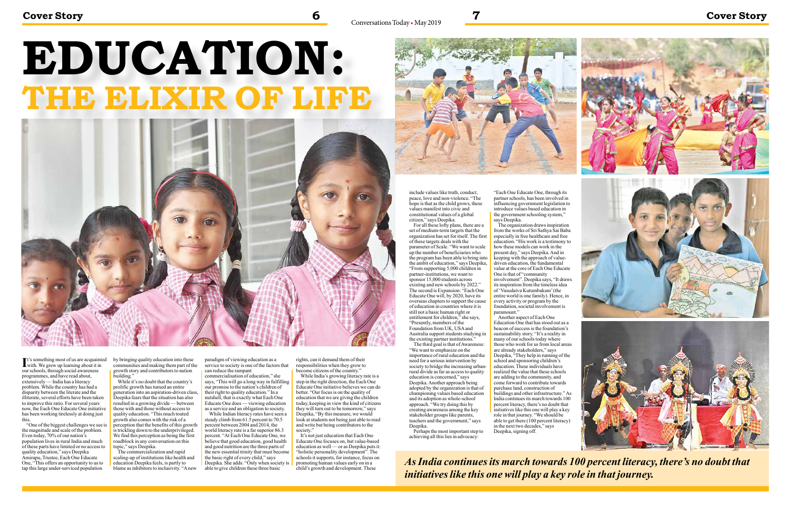It's something most of us are acquainted<br>with. We grew up learning about it in with. We grew up learning about it in our schools, through social awareness programmes, and have read about, extensively — India has a literacy problem. While the country has had a disparity between the literate and the illiterate, several efforts have been taken to improve this ratio. For several years now, the Each One Educate One initiative has been working tirelessly at doing just this.

"One of the biggest challenges we see is the magnitude and scale of the problem. Even today, 70% of our nation's population lives in rural India and much of these parts have limited or no access to quality education," says Deepika Amirapu, Trustee, Each One Educate One, "This offers an opportunity to us to tap this large under-serviced population

by bringing quality education into these communities and making them part of the growth story and contributors to nation building."

While it's no doubt that the country's prolific growth has turned an entire generation into an aspiration-driven class, Deepika fears that the situation has also resulted in a growing divide — between those with and those without access to quality education. "This much touted growth also comes with the risk of a perception that the benefits of this growth is trickling down to the underprivileged. We find this perception as being the first roadblock in any conversation on this topic," says Deepika.

While Indian literacy rates have seen a steady climb from 61.5 percent to 70.5 percent between 2004 and 2014, the world literacy rate is a far superior 86.3 percent. "At Each One Educate One, we believe that good education, good health and good nutrition are the three parts of the new essential trinity that must become the basic right of every child," says Deepika. She adds: "Only when society is able to give children these three basic

rights, can it demand them of their responsibilities when they grow to become citizens of the country."

While India's growing literacy rate is a step in the right direction, the Each One Educate One initiative believes we can do better. "Our focus is on the quality of education that we are giving the children today, keeping in view the kind of citizens they will turn out to be tomorrow," says Deepika, "By this measure, we would look at students not being just able to read and write but being contributors to the society."

The commercialization and rapid scaling-up of institutions like health and education Deepika feels, is partly to blame as inhibitors to inclusivity. "A new

It's not just education that Each One Educate One focuses on, but value-based education as well — or as Deepika puts it: "holistic personality development". The schools it supports, for instance, focus on promoting human values early on in a child's growth and development. These



paradigm of viewing education as a service to society is one of the factors that can reduce the rampant

commercialisation of education," she says, "This will go a long way in fulfilling our promise to the nation's children of their right to quality education." In a nutshell, that is exactly what Each One Educate One does — viewing education as a service and an obligation to society.

# **EDUCATION: THE ELIXIR OF LIFE**



include values like truth, conduct, peace, love and non-violence. "The hope is that as the child grows, these values manifest into civic and constitutional values of a global citizen," says Deepika.

For all these lofty plans, there are a set of medium-term targets that the organization has set for itself. The first of these targets deals with the parameter of Scale. "We want to scale up the number of beneficiaries who the program has been able to bring into the ambit of education," says Deepika, "From supporting 5,000 children in partner-institutions, we want to sponsor 15,000 students across existing and new schools by 2022." The second is Expansion: "Each One Educate One will, by 2020, have its overseas chapters to support the cause of education in countries where it is still not a basic human right or entitlement for children," she says, "Presently, members of the Foundation from UK, USA and Australia support students studying in the existing partner institutions." The third goal is that of Awareness:

"We want to emphasize on the importance of rural education and the need for a serious intervention by society to bridge the increasing urbanrural divide as far as access to quality education is concerned," says Deepika. Another approach being adopted by the organization is that of championing values based education and its adoption as whole-school approach. "We try doing this by creating awareness among the key stakeholder groups like parents, teachers and the government," says Deepika.

Perhaps the most important step to achieving all this lies in advocacy:

"Each One Educate One, through its partner schools, has been involved in influencing government legislation to introduce values based education in the government schooling system," says Deepika.

The organization draws inspiration from the works of Sri Sathya Sai Baba especially in free healthcare and free education. "His work is a testimony to how these models can work in the present day," says Deepika. And in keeping with the approach of valuedriven education, the fundamental value at the core of Each One Educate One is that of "community involvement". Deepika says, "It draws its inspiration from the timeless idea of 'Vasudaiva Kutumbakam' (the entire world is one family). Hence, in every activity or program by the foundation, societal involvement is paramount."

Another aspect of Each One Education One that has stood out as a beacon of success is the foundation's sustainability story. "It's a reality in many of our schools today where those who work for us from local areas are already stakeholders," says Deepika, "They help in running of the school and sponsoring children's education. These individuals have realized the value that these schools are adding to the community, and come forward to contribute towards purchase land, construction of buildings and other infrastructure." As India continues its march towards 100 percent literacy, there's no doubt that initiatives like this one will play a key role in that journey. "We should be able to get there  $(100)$  percent literacy) in the next two decades," says Deepika, signing off.





*As India continues its march towards 100 percent literacy, there's no doubt that initiatives like this one will play a key role in that journey.*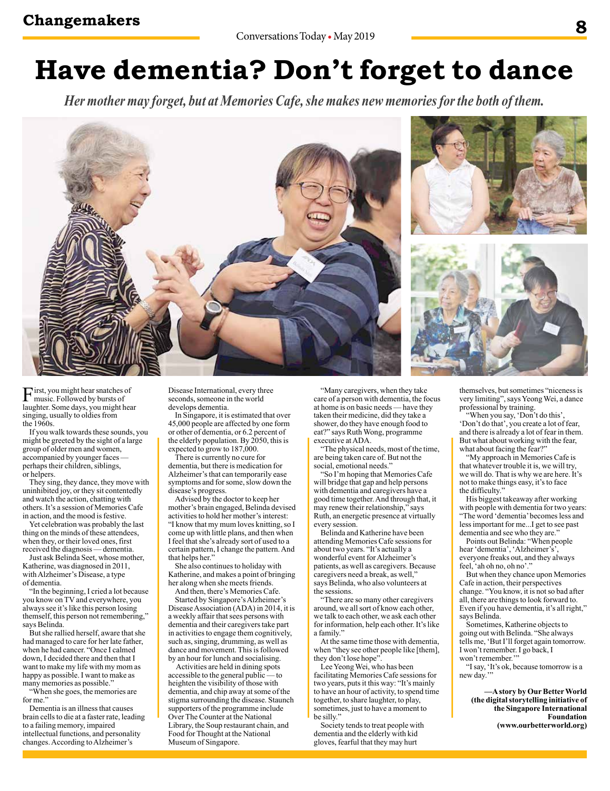## **Have dementia? Don't forget to dance**

*Her mother may forget, but at Memories Cafe, she makes new memories for the both of them.*







First, you might hear snatches of<br>music. Followed by bursts of laughter. Some days, you might hear singing, usually to oldies from the 1960s.

If you walk towards these sounds, you might be greeted by the sight of a large group of older men and women, accompanied by younger faces perhaps their children, siblings, or helpers.

They sing, they dance, they move with uninhibited joy, or they sit contentedly and watch the action, chatting with others. It's a session of Memories Cafe in action, and the mood is festive.

Yet celebration was probably the last thing on the minds of these attendees, when they, or their loved ones, first received the diagnosis — dementia.

Just ask Belinda Seet, whose mother, Katherine, was diagnosed in 2011, with Alzheimer's Disease, a type of dementia.

"In the beginning, I cried a lot because you know on TV and everywhere, you always see it's like this person losing themself, this person not remembering," says Belinda.

But she rallied herself, aware that she had managed to care for her late father, when he had cancer. "Once I calmed down, I decided there and then that I want to make my life with my mom as happy as possible. I want to make as many memories as possible."

"When she goes, the memories are for me."

Dementia is an illness that causes brain cells to die at a faster rate, leading to a failing memory, impaired intellectual functions, and personality changes. According to Alzheimer's

Disease International, every three seconds, someone in the world develops dementia.

In Singapore, it is estimated that over 45,000 people are affected by one form or other of dementia, or 6.2 percent of the elderly population. By  $2050$ , this is expected to grow to 187,000.

There is currently no cure for dementia, but there is medication for Alzheimer's that can temporarily ease symptoms and for some, slow down the disease's progress.

Advised by the doctor to keep her mother's brain engaged, Belinda devised activities to hold her mother's interest: "I know that my mum loves knitting, so I come up with little plans, and then when I feel that she's already sort of used to a certain pattern, I change the pattern. And that helps her<sup>3</sup>

She also continues to holiday with Katherine, and makes a point of bringing her along when she meets friends.

And then, there's Memories Cafe. Started by Singapore's Alzheimer's Disease Association (ADA) in 2014, it is a weekly affair that sees persons with dementia and their caregivers take part in activities to engage them cognitively, such as, singing, drumming, as well as dance and movement. This is followed by an hour for lunch and socialising.

 Activities are held in dining spots accessible to the general public — to heighten the visibility of those with dementia, and chip away at some of the stigma surrounding the disease. Staunch supporters of the programme include Over The Counter at the National Library, the Soup restaurant chain, and Food for Thought at the National Museum of Singapore.

"Many caregivers, when they take care of a person with dementia, the focus at home is on basic needs — have they taken their medicine, did they take a shower, do they have enough food to eat?" says Ruth Wong, programme executive at ADA.

"The physical needs, most of the time, are being taken care of. But not the social, emotional needs.

"So I'm hoping that Memories Cafe will bridge that gap and help persons with dementia and caregivers have a good time together. And through that, it may renew their relationship," says Ruth, an energetic presence at virtually every session.

Belinda and Katherine have been attending Memories Cafe sessions for about two years. "It's actually a wonderful event for Alzheimer's patients, as well as caregivers. Because caregivers need a break, as well,' says Belinda, who also volunteers at the sessions.

"There are so many other caregivers around, we all sort of know each other, we talk to each other, we ask each other for information, help each other. It's like a family.'

At the same time those with dementia, when "they see other people like [them], they don't lose hope'

Lee Yeong Wei, who has been facilitating Memories Cafe sessions for two years, puts it this way: "It's mainly to have an hour of activity, to spend time together, to share laughter, to play, sometimes, just to have a moment to be silly."

Society tends to treat people with dementia and the elderly with kid gloves, fearful that they may hurt

themselves, but sometimes "niceness is very limiting", says Yeong Wei, a dance professional by training.

"When you say, 'Don't do this', 'Don't do that', you create a lot of fear, and there is already a lot of fear in them. But what about working with the fear, what about facing the fear?"

"My approach in Memories Cafe is that whatever trouble it is, we will try, we will do. That is why we are here. It's not to make things easy, it's to face the difficulty."

His biggest takeaway after working with people with dementia for two years: "The word 'dementia' becomes less and less important for me...I get to see past dementia and see who they are.

Points out Belinda: "When people hear 'dementia', 'Alzheimer's' everyone freaks out, and they always feel, 'ah oh no, oh no'.

But when they chance upon Memories Cafe in action, their perspectives change. "You know, it is not so bad after all, there are things to look forward to. Even if you have dementia, it's all right," says Belinda.

Sometimes, Katherine objects to going out with Belinda. "She always tells me, 'But I'll forget again tomorrow. I won't remember. I go back, I won't remember.

"I say, 'It's ok, because tomorrow is a new day.'"

**—A story by Our Better World (the digital storytelling initiative of the Singapore International Foundation (www.ourbetterworld.org)**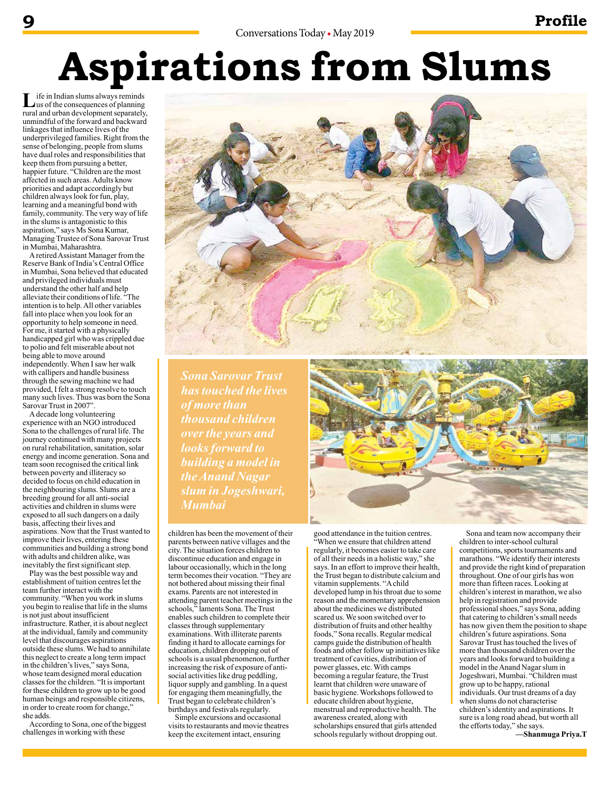# **Aspirations from Slums**

Life in Indian slums always reminds<br>
us of the consequences of planning rural and urban development separately, unmindful of the forward and backward linkages that influence lives of the underprivileged families. Right from the sense of belonging, people from slums have dual roles and responsibilities that keep them from pursuing a better, happier future. "Children are the most affected in such areas. Adults know priorities and adapt accordingly but children always look for fun, play, learning and a meaningful bond with family, community. The very way of life in the slums is antagonistic to this aspiration," says Ms Sona Kumar, Managing Trustee of Sona Sarovar Trust in Mumbai, Maharashtra.

A retired Assistant Manager from the Reserve Bank of India's Central Office in Mumbai, Sona believed that educated and privileged individuals must understand the other half and help alleviate their conditions of life. "The intention is to help. All other variables fall into place when you look for an opportunity to help someone in need. For me, it started with a physically handicapped girl who was crippled due to polio and felt miserable about not being able to move around independently. When I saw her walk with callipers and handle business through the sewing machine we had provided, I felt a strong resolve to touch many such lives. Thus was born the Sona Sarovar Trust in 2007".

A decade long volunteering experience with an NGO introduced Sona to the challenges of rural life. The journey continued with many projects on rural rehabilitation, sanitation, solar energy and income generation. Sona and team soon recognised the critical link between poverty and illiteracy so decided to focus on child education in the neighbouring slums. Slums are a breeding ground for all anti-social activities and children in slums were exposed to all such dangers on a daily basis, affecting their lives and aspirations. Now that the Trust wanted to improve their lives, entering these communities and building a strong bond with adults and children alike, was inevitably the first significant step.

Play was the best possible way and establishment of tuition centres let the team further interact with the community. "When you work in slums you begin to realise that life in the slums is not just about insufficient infrastructure. Rather, it is about neglect at the individual, family and community level that discourages aspirations outside these slums. We had to annihilate this neglect to create a long term impact in the children's lives," says Sona, whose team designed moral education classes for the children. "It is important for these children to grow up to be good human beings and responsible citizens, in order to create room for change," she adds.

According to Sona, one of the biggest challenges in working with these



*Sona Sarovar Trust has touched the lives of more than thousand children over the years and looks forward to building a model in the Anand Nagar slum in Jogeshwari, Mumbai*

children has been the movement of their parents between native villages and the city. The situation forces children to discontinue education and engage in labour occasionally, which in the long term becomes their vocation. "They are not bothered about missing their final exams. Parents are not interested in attending parent teacher meetings in the schools," laments Sona. The Trust enables such children to complete their classes through supplementary examinations. With illiterate parents finding it hard to allocate earnings for education, children dropping out of schools is a usual phenomenon, further increasing the risk of exposure of antisocial activities like drug peddling, liquor supply and gambling. In a quest for engaging them meaningfully, the Trust began to celebrate children's birthdays and festivals regularly.

Simple excursions and occasional visits to restaurants and movie theatres keep the excitement intact, ensuring



good attendance in the tuition centres. "When we ensure that children attend regularly, it becomes easier to take care of all their needs in a holistic way," she says. In an effort to improve their health, the Trust began to distribute calcium and vitamin supplements. "A child developed lump in his throat due to some reason and the momentary apprehension about the medicines we distributed scared us. We soon switched over to distribution of fruits and other healthy foods," Sona recalls. Regular medical camps guide the distribution of health foods and other follow up initiatives like treatment of cavities, distribution of power glasses, etc. With camps becoming a regular feature, the Trust learnt that children were unaware of basic hygiene. Workshops followed to educate children about hygiene, menstrual and reproductive health. The awareness created, along with scholarships ensured that girls attended schools regularly without dropping out.

Sona and team now accompany their children to inter-school cultural competitions, sports tournaments and marathons. "We identify their interests and provide the right kind of preparation throughout. One of our girls has won more than fifteen races. Looking at children's interest in marathon, we also help in registration and provide professional shoes," says Sona, adding that catering to children's small needs has now given them the position to shape children's future aspirations. Sona Sarovar Trust has touched the lives of more than thousand children over the years and looks forward to building a model in the Anand Nagar slum in Jogeshwari, Mumbai. "Children must grow up to be happy, rational individuals. Our trust dreams of a day when slums do not characterise children's identity and aspirations. It sure is a long road ahead, but worth all the efforts today," she says. **—Shanmuga Priya.T**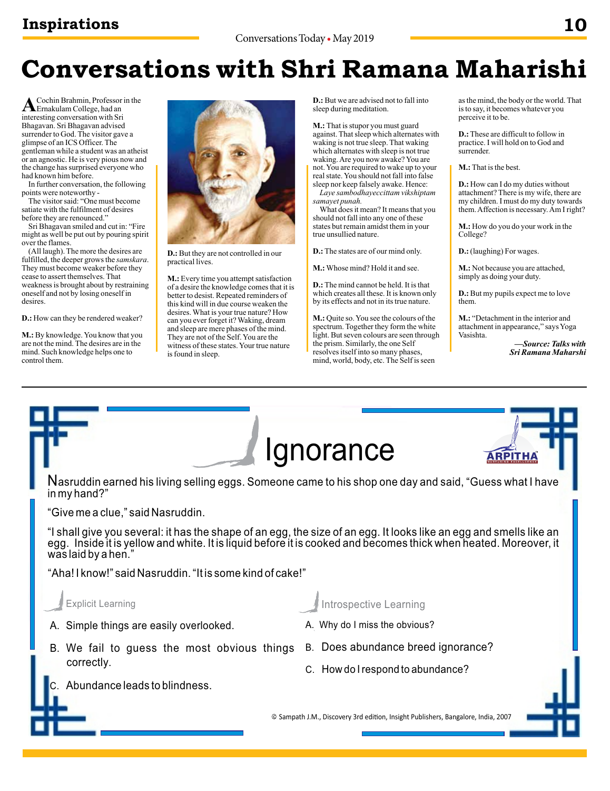## **Conversations with Shri Ramana Maharishi**

A Cochin Brahmin, Professor in the<br>
interacting comparation with S<sub>ri</sub> interesting conversation with Sri Bhagavan. Sri Bhagavan advised surrender to God. The visitor gave a glimpse of an ICS Officer. The gentleman while a student was an atheist or an agnostic. He is very pious now and the change has surprised everyone who had known him before.

In further conversation, the following points were noteworthy -

The visitor said: "One must become satiate with the fulfilment of desires before they are renounced."

Sri Bhagavan smiled and cut in: "Fire might as well be put out by pouring spirit over the flames.

(All laugh). The more the desires are fulfilled, the deeper grows the *samskara*. They must become weaker before they cease to assert themselves. That weakness is brought about by restraining oneself and not by losing oneself in desires.

**D.:** How can they be rendered weaker?

**M.:** By knowledge. You know that you are not the mind. The desires are in the mind. Such knowledge helps one to control them.



**D.:** But they are not controlled in our practical lives.

**M.:** Every time you attempt satisfaction of a desire the knowledge comes that it is better to desist. Repeated reminders of this kind will in due course weaken the desires. What is your true nature? How can you ever forget it? Waking, dream and sleep are mere phases of the mind. They are not of the Self. You are the witness of these states. Your true nature is found in sleep.

**D.:** But we are advised not to fall into sleep during meditation.

**M.:** That is stupor you must guard against. That sleep which alternates with waking is not true sleep. That waking which alternates with sleep is not true waking. Are you now awake? You are not. You are required to wake up to your real state. You should not fall into false sleep nor keep falsely awake. Hence:

*Laye sambodhayeccittam vikshiptam samayet punah.*

What does it mean? It means that you should not fall into any one of these states but remain amidst them in your true unsullied nature.

**D.:** The states are of our mind only.

**M.:** Whose mind? Hold it and see.

**D.:** The mind cannot be held. It is that which creates all these. It is known only by its effects and not in its true nature.

**M.:** Quite so. You see the colours of the spectrum. Together they form the white light. But seven colours are seen through the prism. Similarly, the one Self resolves itself into so many phases, mind, world, body, etc. The Self is seen

as the mind, the body or the world. That is to say, it becomes whatever you perceive it to be.

**D.:** These are difficult to follow in practice. I will hold on to God and surrender.

**M.:** That is the best.

**D.:** How can I do my duties without attachment? There is my wife, there are my children. I must do my duty towards them. Affection is necessary. Am I right?

**M.:** How do you do your work in the College?

**D.:** (laughing) For wages.

**M.:** Not because you are attached, simply as doing your duty.

**D.:** But my pupils expect me to love them.

**M.:** "Detachment in the interior and attachment in appearance," says Yoga Vasishta.

> *—Source: Talks with Sri Ramana Maharshi*

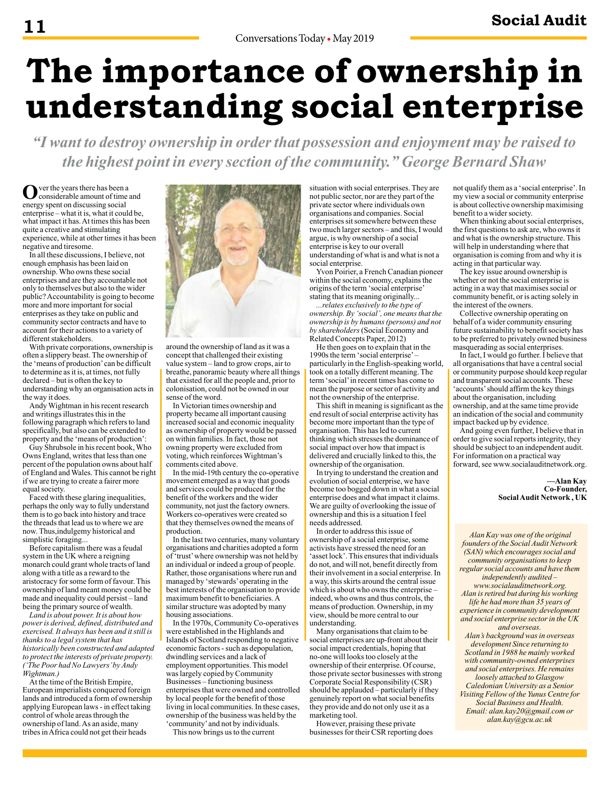# **The importance of ownership in understanding social enterprise**

*"I want to destroy ownership in order that possession and enjoyment may be raised to the highest point in every section of the community." George Bernard Shaw*

Over the years there has been a<br>considerable amount of time and energy spent on discussing social enterprise – what it is, what it could be, what impact it has. At times this has been quite a creative and stimulating experience, while at other times it has been negative and tiresome.

In all these discussions, I believe, not enough emphasis has been laid on ownership. Who owns these social enterprises and are they accountable not only to themselves but also to the wider public? Accountability is going to become more and more important for social enterprises as they take on public and community sector contracts and have to account for their actions to a variety of different stakeholders.

With private corporations, ownership is often a slippery beast. The ownership of the 'means of production' can be difficult to determine as it is, at times, not fully declared – but is often the key to understanding why an organisation acts in the way it does.

Andy Wightman in his recent research and writings illustrates this in the following paragraph which refers to land specifically, but also can be extended to property and the 'means of production':

Guy Shrubsole in his recent book, Who Owns England, writes that less than one percent of the population owns about half of England and Wales. This cannot be right if we are trying to create a fairer more equal society.

Faced with these glaring inequalities, perhaps the only way to fully understand them is to go back into history and trace the threads that lead us to where we are now. Thus,indulgemy historical and simplistic foraging...

Before capitalism there was a feudal system in the UK where a reigning monarch could grant whole tracts of land along with a title as a reward to the aristocracy for some form of favour. This ownership of land meant money could be made and inequality could persist – land being the primary source of wealth.

*Land is about power. It is about how power is derived, defined, distributed and exercised. It always has been and it still is thanks to a legal system that has historically been constructed and adapted to protect the interests of private property. ('The Poor had No Lawyers' by Andy Wightman.)* 

At the time of the British Empire, European imperialists conquered foreign lands and introduced a form of ownership applying European laws - in effect taking control of whole areas through the ownership of land. As an aside, many tribes in Africa could not get their heads



around the ownership of land as it was a concept that challenged their existing value system – land to grow crops, air to breathe, panoramic beauty where all things that existed for all the people and, prior to colonisation, could not be owned in our sense of the word.

In Victorian times ownership and property became all important causing increased social and economic inequality as ownership of property would be passed on within families. In fact, those not owning property were excluded from voting, which reinforces Wightman's comments cited above.

In the mid-19th century the co-operative movement emerged as a way that goods and services could be produced for the benefit of the workers and the wider community, not just the factory owners. Workers co-operatives were created so that they themselves owned the means of production.

In the last two centuries, many voluntary organisations and charities adopted a form of 'trust' where ownership was not held by an individual or indeed a group of people. Rather, those organisations where run and managed by 'stewards' operating in the best interests of the organisation to provide maximum benefit to beneficiaries. A similar structure was adopted by many housing associations.

In the 1970s, Community Co-operatives were established in the Highlands and Islands of Scotland responding to negative economic factors - such as depopulation, dwindling services and a lack of employment opportunities. This model was largely copied by Community Businesses – functioning business enterprises that were owned and controlled by local people for the benefit of those living in local communities. In these cases, ownership of the business was held by the 'community' and not by individuals.

This now brings us to the current

situation with social enterprises. They are not public sector, nor are they part of the private sector where individuals own organisations and companies. Social enterprises sit somewhere between these two much larger sectors – and this, I would argue, is why ownership of a social enterprise is key to our overall understanding of what is and what is not a social enterprise.

Yvon Poirier, a French Canadian pioneer within the social economy, explains the origins of the term 'social enterprise' stating that its meaning originally...

*...relates exclusively to the type of ownership. By 'social', one means that the ownership is by humans (persons) and not by shareholders* (Social Economy and Related Concepts Paper, 2012)

He then goes on to explain that in the 1990s the term 'social enterprise' – particularly in the English-speaking world, took on a totally different meaning. The term 'social' in recent times has come to mean the purpose or sector of activity and not the ownership of the enterprise.

This shift in meaning is significant as the end result of social enterprise activity has become more important than the type of organisation. This has led to current thinking which stresses the dominance of social impact over how that impact is delivered and crucially linked to this, the ownership of the organisation.

In trying to understand the creation and evolution of social enterprise, we have become too bogged down in what a social enterprise does and what impact it claims. We are guilty of overlooking the issue of ownership and this is a situation I feel needs addressed.

In order to address this issue of ownership of a social enterprise, some activists have stressed the need for an 'asset lock'. This ensures that individuals do not, and will not, benefit directly from their involvement in a social enterprise. In a way, this skirts around the central issue which is about who owns the enterprise – indeed, who owns and thus controls, the means of production. Ownership, in my view, should be more central to our understanding.

Many organisations that claim to be social enterprises are up-front about their social impact credentials, hoping that no-one will looks too closely at the ownership of their enterprise. Of course, those private sector businesses with strong Corporate Social Responsibility (CSR) should be applauded – particularly if they genuinely report on what social benefits they provide and do not only use it as a marketing tool.

However, praising these private businesses for their CSR reporting does not qualify them as a 'social enterprise'. In my view a social or community enterprise is about collective ownership maximising benefit to a wider society.

When thinking about social enterprises, the first questions to ask are, who owns it and what is the ownership structure. This will help in understanding where that organisation is coming from and why it is acting in that particular way.

The key issue around ownership is whether or not the social enterprise is acting in a way that maximises social or community benefit, or is acting solely in the interest of the owners.

Collective ownership operating on behalf of a wider community ensuring future sustainability to benefit society has to be preferred to privately owned business masquerading as social enterprises.

In fact, I would go further. I believe that all organisations that have a central social or community purpose should keep regular and transparent social accounts. These 'accounts' should affirm the key things about the organisation, including ownership, and at the same time provide an indication of the social and community impact backed up by evidence.

And going even further, I believe that in order to give social reports integrity, they should be subject to an independent audit. For information on a practical way forward, see www.socialauditnetwork.org.

> **—Alan Kay Co-Founder, Social Audit Network , UK**

*Alan Kay was one of the original founders of the Social Audit Network (SAN) which encourages social and community organisations to keep regular social accounts and have them independently audited – www.socialauditnetwork.org. Alan is retired but during his working life he had more than 35 years of experience in community development and social enterprise sector in the UK and overseas. Alan's background was in overseas development Since returning to* 

*Scotland in 1988 he mainly worked with community-owned enterprises and social enterprises. He remains loosely attached to Glasgow Caledonian University as a Senior Visiting Fellow of the Yunus Centre for Social Business and Health. Email: alan.kay20@gmail.com or alan.kay@gcu.ac.uk*